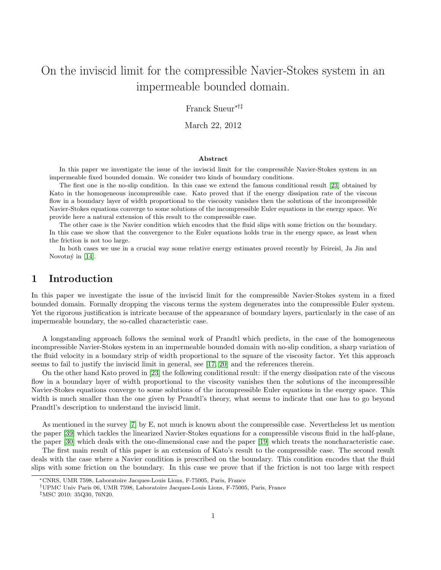# On the inviscid limit for the compressible Navier-Stokes system in an impermeable bounded domain.

Franck Sueur∗†‡

March 22, 2012

#### Abstract

In this paper we investigate the issue of the inviscid limit for the compressible Navier-Stokes system in an impermeable fixed bounded domain. We consider two kinds of boundary conditions.

The first one is the no-slip condition. In this case we extend the famous conditional result [\[23\]](#page-12-0) obtained by Kato in the homogeneous incompressible case. Kato proved that if the energy dissipation rate of the viscous flow in a boundary layer of width proportional to the viscosity vanishes then the solutions of the incompressible Navier-Stokes equations converge to some solutions of the incompressible Euler equations in the energy space. We provide here a natural extension of this result to the compressible case.

The other case is the Navier condition which encodes that the fluid slips with some friction on the boundary. In this case we show that the convergence to the Euler equations holds true in the energy space, as least when the friction is not too large.

In both cases we use in a crucial way some relative energy estimates proved recently by Feireisl, Ja Jin and Novotný in  $[14]$ .

## 1 Introduction

In this paper we investigate the issue of the inviscid limit for the compressible Navier-Stokes system in a fixed bounded domain. Formally dropping the viscous terms the system degenerates into the compressible Euler system. Yet the rigorous justification is intricate because of the appearance of boundary layers, particularly in the case of an impermeable boundary, the so-called characteristic case.

A longstanding approach follows the seminal work of Prandtl which predicts, in the case of the homogeneous incompressible Navier-Stokes system in an impermeable bounded domain with no-slip condition, a sharp variation of the fluid velocity in a boundary strip of width proportional to the square of the viscosity factor. Yet this approach seems to fail to justify the inviscid limit in general, see [\[17,](#page-11-1) [20\]](#page-11-2) and the references therein.

On the other hand Kato proved in [\[23\]](#page-12-0) the following conditional result: if the energy dissipation rate of the viscous flow in a boundary layer of width proportional to the viscosity vanishes then the solutions of the incompressible Navier-Stokes equations converge to some solutions of the incompressible Euler equations in the energy space. This width is much smaller than the one given by Prandtl's theory, what seems to indicate that one has to go beyond Prandtl's description to understand the inviscid limit.

As mentioned in the survey [\[7\]](#page-11-3) by E, not much is known about the compressible case. Nevertheless let us mention the paper [\[39\]](#page-12-1) which tackles the linearized Navier-Stokes equations for a compressible viscous fluid in the half-plane, the paper [\[30\]](#page-12-2) which deals with the one-dimensional case and the paper [\[19\]](#page-11-4) which treats the noncharacteristic case.

The first main result of this paper is an extension of Kato's result to the compressible case. The second result deals with the case where a Navier condition is prescribed on the boundary. This condition encodes that the fluid slips with some friction on the boundary. In this case we prove that if the friction is not too large with respect

<sup>∗</sup>CNRS, UMR 7598, Laboratoire Jacques-Louis Lions, F-75005, Paris, France

<sup>†</sup>UPMC Univ Paris 06, UMR 7598, Laboratoire Jacques-Louis Lions, F-75005, Paris, France

<sup>‡</sup>MSC 2010: 35Q30, 76N20.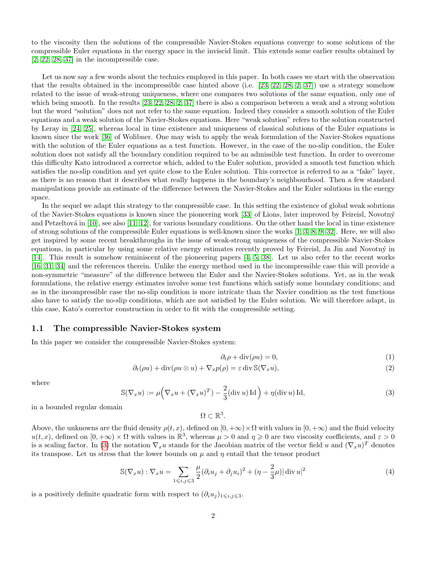to the viscosity then the solutions of the compressible Navier-Stokes equations converge to some solutions of the compressible Euler equations in the energy space in the inviscid limit. This extends some earlier results obtained by [\[2,](#page-11-5) [22,](#page-12-3) [28,](#page-12-4) [37\]](#page-12-5) in the incompressible case.

Let us now say a few words about the technics employed in this paper. In both cases we start with the observation that the results obtained in the incompressible case hinted above (i.e. [\[23,](#page-12-0) [22,](#page-12-3) [28,](#page-12-4) [2,](#page-11-5) [37\]](#page-12-5)) use a strategy somehow related to the issue of weak-strong uniqueness, where one compares two solutions of the same equation, only one of which being smooth. In the results [\[23,](#page-12-0) [22,](#page-12-3) [28,](#page-12-4) [2,](#page-11-5) [37\]](#page-12-5) there is also a comparison between a weak and a strong solution but the word "solution" does not not refer to the same equation. Indeed they consider a smooth solution of the Euler equations and a weak solution of the Navier-Stokes equations. Here "weak solution" refers to the solution constructed by Leray in [\[24,](#page-12-6) [25\]](#page-12-7), whereas local in time existence and uniqueness of classical solutions of the Euler equations is known since the work [\[36\]](#page-12-8) of Wolibner. One may wish to apply the weak formulation of the Navier-Stokes equations with the solution of the Euler equations as a test function. However, in the case of the no-slip condition, the Euler solution does not satisfy all the boundary condition required to be an admissible test function. In order to overcome this difficulty Kato introduced a corrector which, added to the Euler solution, provided a smooth test function which satisfies the no-slip condition and yet quite close to the Euler solution. This corrector is referred to as a "fake" layer, as there is no reason that it describes what really happens in the boundary's neighbourhood. Then a few standard manipulations provide an estimate of the difference between the Navier-Stokes and the Euler solutions in the energy space.

In the sequel we adapt this strategy to the compressible case. In this setting the existence of global weak solutions of the Navier-Stokes equations is known since the pioneering work [\[33\]](#page-12-9) of Lions, later improved by Feireisl, Novotn´y and Petzeltová in  $[10]$ , see also  $[11, 12]$  $[11, 12]$ , for various boundary conditions. On the other hand the local in time existence of strong solutions of the compressible Euler equations is well-known since the works [\[1,](#page-11-9) [3,](#page-11-10) [8,](#page-11-11) [9,](#page-11-12) [32\]](#page-12-10). Here, we will also get inspired by some recent breakthroughs in the issue of weak-strong uniqueness of the compressible Navier-Stokes equations, in particular by using some relative energy estimates recently proved by Feireisl, Ja Jin and Novotný in [\[14\]](#page-11-0). This result is somehow reminiscent of the pioneering papers [\[4,](#page-11-13) [5,](#page-11-14) [38\]](#page-12-11). Let us also refer to the recent works [\[16,](#page-11-15) [31,](#page-12-12) [34\]](#page-12-13) and the references therein. Unlike the energy method used in the incompressible case this will provide a non-symmetric "measure" of the difference between the Euler and the Navier-Stokes solutions. Yet, as in the weak formulations, the relative energy estimates involve some test functions which satisfy some boundary conditions; and as in the incompressible case the no-slip condition is more intricate than the Navier condition as the test functions also have to satisfy the no-slip conditions, which are not satisfied by the Euler solution. We will therefore adapt, in this case, Kato's corrector construction in order to fit with the compressible setting.

#### 1.1 The compressible Navier-Stokes system

In this paper we consider the compressible Navier-Stokes system:

<span id="page-1-2"></span>
$$
\partial_t \rho + \text{div}(\rho u) = 0,\tag{1}
$$

$$
\partial_t(\rho u) + \operatorname{div}(\rho u \otimes u) + \nabla_x p(\rho) = \varepsilon \operatorname{div} \mathbb{S}(\nabla_x u), \tag{2}
$$

where

<span id="page-1-0"></span>
$$
\mathbb{S}(\nabla_x u) := \mu \left( \nabla_x u + (\nabla_x u)^T \right) - \frac{2}{3} (\text{div } u) \, \text{Id} \right) + \eta (\text{div } u) \, \text{Id},\tag{3}
$$

in a bounded regular domain

 $\Omega \subset \mathbb{R}^3$ .

Above, the unknowns are the fluid density  $\rho(t, x)$ , defined on  $[0, +\infty) \times \Omega$  with values in  $[0, +\infty)$  and the fluid velocity  $u(t, x)$ , defined on  $[0, +\infty) \times \Omega$  with values in  $\mathbb{R}^3$ , whereas  $\mu > 0$  and  $\eta \geq 0$  are two viscosity coefficients, and  $\varepsilon > 0$ is a scaling factor. In [\(3\)](#page-1-0) the notation  $\nabla_x u$  stands for the Jacobian matrix of the vector field u and  $(\nabla_x u)^T$  denotes its transpose. Let us stress that the lower bounds on  $\mu$  and  $\eta$  entail that the tensor product

<span id="page-1-1"></span>
$$
\mathbb{S}(\nabla_x u) : \nabla_x u = \sum_{1 \leqslant i,j \leqslant 3} \frac{\mu}{2} (\partial_i u_j + \partial_j u_i)^2 + (\eta - \frac{2}{3}\mu) |\operatorname{div} u|^2 \tag{4}
$$

is a positively definite quadratic form with respect to  $(\partial_i u_j)_{1\leq i,j\leq 3}$ .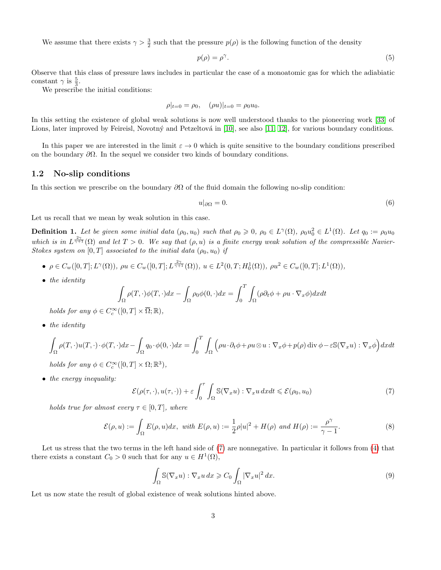We assume that there exists  $\gamma > \frac{3}{2}$  such that the pressure  $p(\rho)$  is the following function of the density

<span id="page-2-2"></span>
$$
p(\rho) = \rho^{\gamma}.\tag{5}
$$

Observe that this class of pressure laws includes in particular the case of a monoatomic gas for which the adiabiatic constant  $\gamma$  is  $\frac{5}{3}$ .

We prescribe the initial conditions:

$$
\rho|_{t=0} = \rho_0, \quad (\rho u)|_{t=0} = \rho_0 u_0.
$$

In this setting the existence of global weak solutions is now well understood thanks to the pioneering work [\[33\]](#page-12-9) of Lions, later improved by Feireisl, Novotný and Petzeltová in  $[10]$ , see also  $[11, 12]$  $[11, 12]$ , for various boundary conditions.

In this paper we are interested in the limit  $\varepsilon \to 0$  which is quite sensitive to the boundary conditions prescribed on the boundary  $\partial\Omega$ . In the sequel we consider two kinds of boundary conditions.

### 1.2 No-slip conditions

In this section we prescribe on the boundary  $\partial\Omega$  of the fluid domain the following no-slip condition:

<span id="page-2-1"></span>
$$
u|_{\partial\Omega} = 0.\t\t(6)
$$

Let us recall that we mean by weak solution in this case.

**Definition 1.** Let be given some initial data  $(\rho_0, u_0)$  such that  $\rho_0 \ge 0$ ,  $\rho_0 \in L^{\gamma}(\Omega)$ ,  $\rho_0 u_0^2 \in L^1(\Omega)$ . Let  $q_0 := \rho_0 u_0$ which is in  $L^{\frac{2\gamma}{\gamma+1}}(\Omega)$  and let  $T>0$ . We say that  $(\rho, u)$  is a finite energy weak solution of the compressible Navier-Stokes system on  $[0, T]$  associated to the initial data  $(\rho_0, u_0)$  if

- $\rho \in C_w([0,T]; L^{\gamma}(\Omega)), \ \rho u \in C_w([0,T]; L^{\frac{2\gamma}{\gamma+1}}(\Omega)), \ u \in L^2(0,T; H^1_0(\Omega)), \ \rho u^2 \in C_w([0,T]; L^1(\Omega)),$
- the identity

$$
\int_{\Omega} \rho(T,\cdot)\phi(T,\cdot)dx - \int_{\Omega} \rho_0\phi(0,\cdot)dx = \int_0^T \int_{\Omega} (\rho\partial_t\phi + \rho u \cdot \nabla_x\phi)dxdt
$$

holds for any  $\phi \in C_c^{\infty}([0,T] \times \overline{\Omega}; \mathbb{R}),$ 

• the *identity* 

$$
\int_{\Omega} \rho(T, \cdot) u(T, \cdot) \cdot \phi(T, \cdot) dx - \int_{\Omega} q_0 \cdot \phi(0, \cdot) dx = \int_0^T \int_{\Omega} \left( \rho u \cdot \partial_t \phi + \rho u \otimes u : \nabla_x \phi + p(\rho) \operatorname{div} \phi - \varepsilon S(\nabla_x u) : \nabla_x \phi \right) dx dt
$$
  
holds for any  $\phi \in C_c^{\infty}([0, T] \times \Omega; \mathbb{R}^3)$ ,

• the energy inequality:

<span id="page-2-0"></span>
$$
\mathcal{E}(\rho(\tau,\cdot),u(\tau,\cdot))+\varepsilon\int_0^\tau\int_{\Omega}\mathbb{S}(\nabla_x u):\nabla_x u\,dxdt\leqslant \mathcal{E}(\rho_0,u_0)\tag{7}
$$

holds true for almost every  $\tau \in [0, T]$ , where

<span id="page-2-3"></span>
$$
\mathcal{E}(\rho, u) := \int_{\Omega} E(\rho, u) dx, \quad \text{with } E(\rho, u) := \frac{1}{2}\rho |u|^2 + H(\rho) \quad \text{and } H(\rho) := \frac{\rho^{\gamma}}{\gamma - 1}.
$$

Let us stress that the two terms in the left hand side of [\(7\)](#page-2-0) are nonnegative. In particular it follows from [\(4\)](#page-1-1) that there exists a constant  $C_0 > 0$  such that for any  $u \in H^1(\Omega)$ ,

<span id="page-2-4"></span>
$$
\int_{\Omega} \mathbb{S}(\nabla_x u) : \nabla_x u \, dx \geqslant C_0 \int_{\Omega} |\nabla_x u|^2 \, dx. \tag{9}
$$

Let us now state the result of global existence of weak solutions hinted above.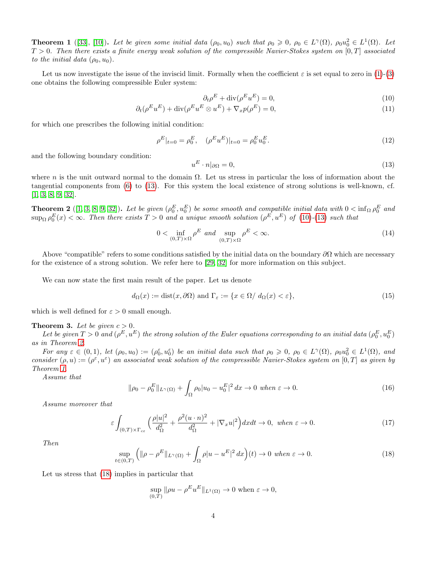<span id="page-3-3"></span>**Theorem 1** ([\[33\]](#page-12-9), [\[10\]](#page-11-6)). Let be given some initial data  $(\rho_0, u_0)$  such that  $\rho_0 \ge 0$ ,  $\rho_0 \in L^{\gamma}(\Omega)$ ,  $\rho_0 u_0^2 \in L^1(\Omega)$ . Let  $T > 0$ . Then there exists a finite energy weak solution of the compressible Navier-Stokes system on [0, T] associated to the initial data  $(\rho_0, u_0)$ .

Let us now investigate the issue of the inviscid limit. Formally when the coefficient  $\varepsilon$  is set equal to zero in [\(1\)](#page-1-2)-[\(3\)](#page-1-0) one obtains the following compressible Euler system:

<span id="page-3-1"></span>
$$
\partial_t \rho^E + \text{div}(\rho^E u^E) = 0,\tag{10}
$$

$$
\partial_t(\rho^E u^E) + \text{div}(\rho^E u^E \otimes u^E) + \nabla_x p(\rho^E) = 0,\tag{11}
$$

for which one prescribes the following initial condition:

$$
\rho^{E}|_{t=0} = \rho_0^{E}, \quad (\rho^{E} u^{E})|_{t=0} = \rho_0^{E} u_0^{E}. \tag{12}
$$

and the following boundary condition:

<span id="page-3-0"></span>
$$
u^E \cdot n|_{\partial \Omega} = 0,\tag{13}
$$

where n is the unit outward normal to the domain  $\Omega$ . Let us stress in particular the loss of information about the tangential components from [\(6\)](#page-2-1) to [\(13\)](#page-3-0). For this system the local existence of strong solutions is well-known, cf. [\[1,](#page-11-9) [3,](#page-11-10) [8,](#page-11-11) [9,](#page-11-12) [32\]](#page-12-10).

<span id="page-3-2"></span>**Theorem 2** ([\[1,](#page-11-9) [3,](#page-11-10) [8,](#page-11-11) [9,](#page-11-12) [32\]](#page-12-10)). Let be given  $(\rho_0^E, u_0^E)$  be some smooth and compatible initial data with  $0 < \inf_{\Omega} \rho_0^E$  and  $\sup_{\Omega} \rho_0^E(x) < \infty$ . Then there exists  $T > 0$  and a unique smooth solution  $(\rho^E, u^E)$  of  $(10)$ - $(13)$  such that

<span id="page-3-9"></span>
$$
0 < \inf_{(0,T) \times \Omega} \rho^E \quad \text{and} \quad \sup_{(0,T) \times \Omega} \rho^E < \infty. \tag{14}
$$

Above "compatible" refers to some conditions satisfied by the initial data on the boundary  $\partial\Omega$  which are necessary for the existence of a strong solution. We refer here to [\[29,](#page-12-14) [32\]](#page-12-10) for more information on this subject.

We can now state the first main result of the paper. Let us denote

<span id="page-3-8"></span>
$$
d_{\Omega}(x) := \text{dist}(x, \partial \Omega) \text{ and } \Gamma_{\varepsilon} := \{ x \in \Omega / \ d_{\Omega}(x) < \varepsilon \},\tag{15}
$$

which is well defined for  $\varepsilon > 0$  small enough.

#### <span id="page-3-5"></span>**Theorem 3.** Let be given  $c > 0$ .

Let be given  $T>0$  and  $(\rho^E,u^E)$  the strong solution of the Euler equations corresponding to an initial data  $(\rho_0^E,u_0^E)$ as in Theorem [2.](#page-3-2)

For any  $\varepsilon \in (0,1)$ , let  $(\rho_0, u_0) := (\rho_0^{\varepsilon}, u_0^{\varepsilon})$  be an initial data such that  $\rho_0 \geq 0$ ,  $\rho_0 \in L^{\gamma}(\Omega)$ ,  $\rho_0 u_0^2 \in L^1(\Omega)$ , and consider  $(\rho, u) := (\rho^{\varepsilon}, u^{\varepsilon})$  an associated weak solution of the compressible Navier-Stokes system on  $[0, T]$  as given by Theorem [1.](#page-3-3)

Assume that

<span id="page-3-7"></span>
$$
\|\rho_0 - \rho_0^E\|_{L^\gamma(\Omega)} + \int_{\Omega} \rho_0 |u_0 - u_0^E|^2 dx \to 0 \text{ when } \varepsilon \to 0. \tag{16}
$$

Assume moreover that

<span id="page-3-6"></span>
$$
\varepsilon \int_{(0,T)\times\Gamma_{c\varepsilon}} \left(\frac{\rho |u|^2}{d_{\Omega}^2} + \frac{\rho^2 (u \cdot n)^2}{d_{\Omega}^2} + |\nabla_x u|^2\right) dxdt \to 0, \text{ when } \varepsilon \to 0.
$$
 (17)

Then

<span id="page-3-4"></span>
$$
\sup_{t \in (0,T)} \left( \|\rho - \rho^E\|_{L^\gamma(\Omega)} + \int_{\Omega} \rho |u - u^E|^2 \, dx \right)(t) \to 0 \text{ when } \varepsilon \to 0. \tag{18}
$$

Let us stress that [\(18\)](#page-3-4) implies in particular that

$$
\sup_{(0,T)} \|\rho u - \rho^E u^E\|_{L^1(\Omega)} \to 0 \text{ when } \varepsilon \to 0,
$$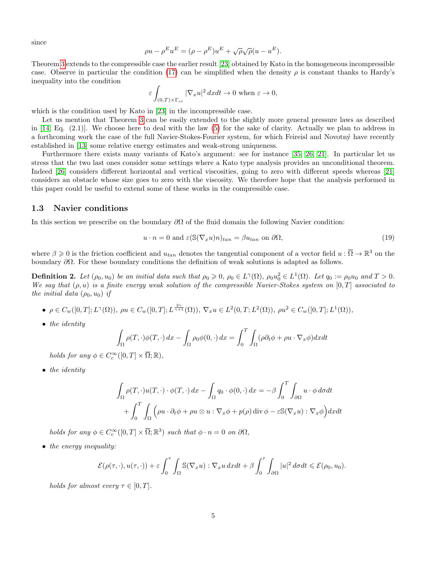since

$$
\rho u - \rho^E u^E = (\rho - \rho^E) u^E + \sqrt{\rho} \sqrt{\rho} (u - u^E).
$$

Theorem [3](#page-3-5) extends to the compressible case the earlier result [\[23\]](#page-12-0) obtained by Kato in the homogeneous incompressible case. Observe in particular the condition [\(17\)](#page-3-6) can be simplified when the density  $\rho$  is constant thanks to Hardy's inequality into the condition

$$
\varepsilon \int_{(0,T)\times\Gamma_{c\varepsilon}} |\nabla_x u|^2 dxdt \to 0 \text{ when } \varepsilon \to 0,
$$

which is the condition used by Kato in [\[23\]](#page-12-0) in the incompressible case.

Let us mention that Theorem [3](#page-3-5) can be easily extended to the slightly more general pressure laws as described in [\[14,](#page-11-0) Eq. (2.1)]. We choose here to deal with the law [\(5\)](#page-2-2) for the sake of clarity. Actually we plan to address in a forthcoming work the case of the full Navier-Stokes-Fourier system, for which Feireisl and Novotný have recently established in [\[13\]](#page-11-16) some relative energy estimates and weak-strong uniqueness.

Furthermore there exists many variants of Kato's argument: see for instance [\[35,](#page-12-15) [26,](#page-12-16) [21\]](#page-12-17). In particular let us stress that the two last ones consider some settings where a Kato type analysis provides an unconditional theorem. Indeed [\[26\]](#page-12-16) considers different horizontal and vertical viscosities, going to zero with different speeds whereas [\[21\]](#page-12-17) considers an obstacle whose size goes to zero with the viscosity. We therefore hope that the analysis performed in this paper could be useful to extend some of these works in the compressible case.

#### 1.3 Navier conditions

In this section we prescribe on the boundary  $\partial\Omega$  of the fluid domain the following Navier condition:

$$
u \cdot n = 0 \text{ and } \varepsilon(\mathbb{S}(\nabla_x u)n)_{tan} = \beta u_{tan} \text{ on } \partial\Omega,
$$
\n(19)

where  $\beta \geqslant 0$  is the friction coefficient and  $u_{tan}$  denotes the tangential component of a vector field  $u : \overline{\Omega} \to \mathbb{R}^3$  on the boundary  $\partial\Omega$ . For these boundary conditions the definition of weak solutions is adapted as follows.

<span id="page-4-0"></span>**Definition 2.** Let  $(\rho_0, u_0)$  be an initial data such that  $\rho_0 \geq 0$ ,  $\rho_0 \in L^{\gamma}(\Omega)$ ,  $\rho_0 u_0^2 \in L^1(\Omega)$ . Let  $q_0 := \rho_0 u_0$  and  $T > 0$ . We say that  $(\rho, u)$  is a finite energy weak solution of the compressible Navier-Stokes system on  $[0, T]$  associated to the initial data  $(\rho_0, u_0)$  if

- $\rho \in C_w([0,T]; L^{\gamma}(\Omega)), \ \rho u \in C_w([0,T]; L^{\frac{2\gamma}{\gamma+1}}(\Omega)), \ \nabla_x u \in L^2(0,T; L^2(\Omega)), \ \rho u^2 \in C_w([0,T]; L^1(\Omega)),$
- the *identity*

$$
\int_{\Omega} \rho(T,\cdot) \phi(T,\cdot) \, dx - \int_{\Omega} \rho_0 \phi(0,\cdot) \, dx = \int_0^T \int_{\Omega} (\rho \partial_t \phi + \rho u \cdot \nabla_x \phi) \, dx \, dt
$$

holds for any  $\phi \in C_c^{\infty}([0,T] \times \overline{\Omega}; \mathbb{R}),$ 

• the *identity* 

$$
\int_{\Omega} \rho(T, \cdot) u(T, \cdot) \cdot \phi(T, \cdot) dx - \int_{\Omega} q_0 \cdot \phi(0, \cdot) dx = -\beta \int_0^T \int_{\partial \Omega} u \cdot \phi d\sigma dt
$$

$$
+ \int_0^T \int_{\Omega} \left( \rho u \cdot \partial_t \phi + \rho u \otimes u : \nabla_x \phi + p(\rho) \operatorname{div} \phi - \varepsilon S(\nabla_x u) : \nabla_x \phi \right) dx dt
$$

holds for any  $\phi \in C_c^{\infty}([0,T] \times \overline{\Omega}; \mathbb{R}^3)$  such that  $\phi \cdot n = 0$  on  $\partial \Omega$ ,

• the energy inequality:

$$
\mathcal{E}(\rho(\tau,\cdot),u(\tau,\cdot))+\varepsilon\int_0^\tau\int_{\Omega}\mathbb{S}(\nabla_x u):\nabla_x u\,dxdt+\beta\int_0^\tau\int_{\partial\Omega}|u|^2\,d\sigma dt\leqslant \mathcal{E}(\rho_0,u_0).
$$

holds for almost every  $\tau \in [0, T]$ .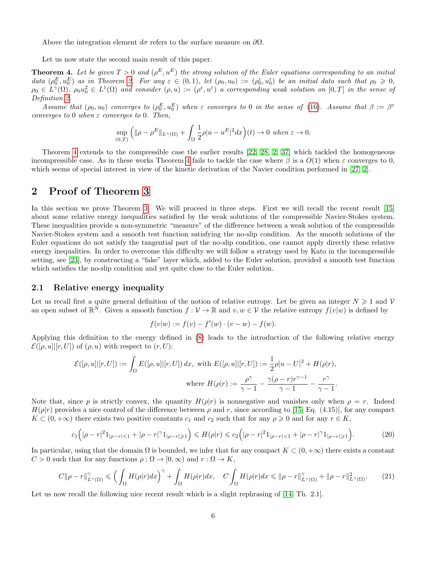Above the integration element  $d\sigma$  refers to the surface measure on  $\partial\Omega$ .

Let us now state the second main result of this paper.

<span id="page-5-0"></span>**Theorem 4.** Let be given  $T > 0$  and  $(\rho^E, u^E)$  the strong solution of the Euler equations corresponding to an initial data  $(\rho_0^E, u_0^E)$  as in Theorem [2.](#page-3-2) For any  $\varepsilon \in (0,1)$ , let  $(\rho_0, u_0) := (\rho_0^{\varepsilon}, u_0^{\varepsilon})$  be an initial data such that  $\rho_0 \geq 0$ ,  $\rho_0 \in L^{\gamma}(\Omega)$ ,  $\rho_0 u_0^2 \in L^1(\Omega)$  and consider  $(\rho, u) := (\rho^{\varepsilon}, u^{\varepsilon})$  a corresponding weak solution on  $[0, T]$  in the sense of Definition [2.](#page-4-0)

Assume that  $(\rho_0, u_0)$  converges to  $(\rho_0^E, u_0^E)$  when  $\varepsilon$  converges to 0 in the sense of [\(16\)](#page-3-7). Assume that  $\beta := \beta^{\varepsilon}$ converges to 0 when  $\varepsilon$  converges to 0. Then,

$$
\sup_{(0,T)} \left( \|\rho - \rho^E\|_{L^\gamma(\Omega)} + \int_\Omega \frac{1}{2}\rho |u - u^E|^2 dx \right)(t) \to 0 \text{ when } \varepsilon \to 0.
$$

Theorem [4](#page-5-0) extends to the compressible case the earlier results [\[22,](#page-12-3) [28,](#page-12-4) [2,](#page-11-5) [37\]](#page-12-5) which tackled the homogeneous incompressible case. As in these works Theorem [4](#page-5-0) fails to tackle the case where  $\beta$  is a  $O(1)$  when  $\varepsilon$  converges to 0, which seems of special interest in view of the kinetic derivation of the Navier condition performed in [\[27,](#page-12-18) [2\]](#page-11-5).

# 2 Proof of Theorem [3](#page-3-5)

In this section we prove Theorem [3.](#page-3-5) We will proceed in three steps. First we will recall the recent result [\[15\]](#page-11-17) about some relative energy inequalities satisfied by the weak solutions of the compressible Navier-Stokes system. These inequalities provide a non-symmetric "measure" of the difference between a weak solution of the compressible Navier-Stokes system and a smooth test function satisfying the no-slip condition. As the smooth solutions of the Euler equations do not satisfy the tangential part of the no-slip condition, one cannot apply directly these relative energy inequalities. In order to overcome this difficulty we will follow a strategy used by Kato in the incompressible setting, see [\[23\]](#page-12-0), by constructing a "fake" layer which, added to the Euler solution, provided a smooth test function which satisfies the no-slip condition and yet quite close to the Euler solution.

#### 2.1 Relative energy inequality

Let us recall first a quite general definition of the notion of relative entropy. Let be given an integer  $N \geq 1$  and V an open subset of  $\mathbb{R}^N$ . Given a smooth function  $f: \mathcal{V} \to \mathbb{R}$  and  $v, w \in \mathcal{V}$  the relative entropy  $f(v|w)$  is defined by

$$
f(v|w) := f(v) - f'(w) \cdot (v - w) - f(w).
$$

Applying this definition to the energy defined in [\(8\)](#page-2-3) leads to the introduction of the following relative energy  $\mathcal{E}([\rho, u] | [r, U])$  of  $(\rho, u)$  with respect to  $(r, U)$ :

$$
\mathcal{E}([\rho, u] | [r, U]) := \int_{\Omega} E([\rho, u] | [r, U]) dx, \text{ with } E([\rho, u] | [r, U]) := \frac{1}{2} \rho |u - U|^2 + H(\rho | r),
$$
  
where 
$$
H(\rho | r) := \frac{\rho^{\gamma}}{\gamma - 1} - \frac{\gamma (\rho - r) r^{\gamma - 1}}{\gamma - 1} - \frac{r^{\gamma}}{\gamma - 1}.
$$

Note that, since p is strictly convex, the quantity  $H(\rho|r)$  is nonnegative and vanishes only when  $\rho = r$ . Indeed  $H(\rho|r)$  provides a nice control of the difference between  $\rho$  and r, since according to [\[15,](#page-11-17) Eq. (4.15)], for any compact  $K \subset (0, +\infty)$  there exists two positive constants  $c_1$  and  $c_2$  such that for any  $\rho \geq 0$  and for any  $r \in K$ ,

<span id="page-5-1"></span>
$$
c_1(|\rho - r|^2 1_{|\rho - r| < 1} + |\rho - r|^{\gamma} 1_{|\rho - r| \geq 1}) \leq H(\rho | r) \leq c_2(|\rho - r|^2 1_{|\rho - r| < 1} + |\rho - r|^{\gamma} 1_{|\rho - r| \geq 1}).\tag{20}
$$

In particular, using that the domain  $\Omega$  is bounded, we infer that for any compact  $K \subset (0, +\infty)$  there exists a constant  $C > 0$  such that for any functions  $\rho : \Omega \to [0, \infty)$  and  $r : \Omega \to K$ ,

<span id="page-5-2"></span>
$$
C\|\rho - r\|_{L^{\gamma}(\Omega)}^{\gamma} \leqslant \left(\int_{\Omega} H(\rho|r)dx\right)^{\gamma} + \int_{\Omega} H(\rho|r)dx, \quad C\int_{\Omega} H(\rho|r)dx \leqslant \|\rho - r\|_{L^{\gamma}(\Omega)}^{\gamma} + \|\rho - r\|_{L^{\gamma}(\Omega)}^2. \tag{21}
$$

Let us now recall the following nice recent result which is a slight rephrasing of [\[14,](#page-11-0) Th. 2.1].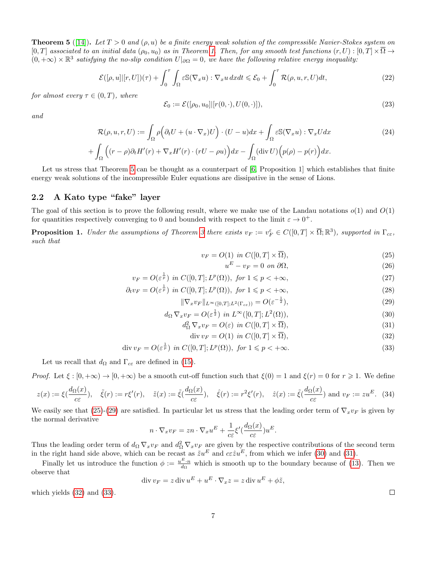<span id="page-6-0"></span>**Theorem 5** ([\[14\]](#page-11-0)). Let  $T > 0$  and  $(\rho, u)$  be a finite energy weak solution of the compressible Navier-Stokes system on  $[0, T]$  associated to an initial data  $(\rho_0, u_0)$  as in Theorem [1.](#page-3-3) Then, for any smooth test functions  $(r, U) : [0, T] \times \overline{\Omega} \rightarrow$  $(0, +\infty) \times \mathbb{R}^3$  satisfying the no-slip condition  $U|_{\partial\Omega} = 0$ , we have the following relative energy inequality:

<span id="page-6-2"></span>
$$
\mathcal{E}([\rho, u] | [r, U])(\tau) + \int_0^\tau \int_{\Omega} \varepsilon \mathbb{S}(\nabla_x u) : \nabla_x u \, dx dt \leq \mathcal{E}_0 + \int_0^\tau \mathcal{R}(\rho, u, r, U) dt,
$$
\n(22)

for almost every  $\tau \in (0, T)$ , where

<span id="page-6-5"></span>
$$
\mathcal{E}_0 := \mathcal{E}([\rho_0, u_0] | [r(0, \cdot), U(0, \cdot)]), \tag{23}
$$

and

<span id="page-6-3"></span>
$$
\mathcal{R}(\rho, u, r, U) := \int_{\Omega} \rho \Big( \partial_t U + (u \cdot \nabla_x) U \Big) \cdot (U - u) dx + \int_{\Omega} \varepsilon \mathbb{S}(\nabla_x u) : \nabla_x U dx
$$
\n
$$
+ \int_{\Omega} \Big( (r - \rho) \partial_t H'(r) + \nabla_x H'(r) \cdot (rU - \rho u) \Big) dx - \int_{\Omega} (\text{div} \, U) \Big( p(\rho) - p(r) \Big) dx.
$$
\n(24)

Let us stress that Theorem [5](#page-6-0) can be thought as a counterpart of [\[6,](#page-11-18) Proposition 1] which establishes that finite energy weak solutions of the incompressible Euler equations are dissipative in the sense of Lions.

### 2.2 A Kato type "fake" layer

The goal of this section is to prove the following result, where we make use of the Landau notations  $o(1)$  and  $O(1)$ for quantities respectively converging to 0 and bounded with respect to the limit  $\varepsilon \to 0^+$ .

**Proposition 1.** Under the assumptions of Theorem [3](#page-3-5) there exists  $v_F := v_F^{\varepsilon} \in C([0,T] \times \overline{\Omega}; \mathbb{R}^3)$ , supported in  $\Gamma_{c\varepsilon}$ , such that

<span id="page-6-1"></span>
$$
v_F = O(1) \text{ in } C([0, T] \times \overline{\Omega}), \tag{25}
$$

$$
u^E - v_F = 0 \text{ on } \partial\Omega,
$$
\n<sup>(26)</sup>

$$
v_F = O(\varepsilon^{\frac{1}{p}}) \text{ in } C([0, T]; L^p(\Omega)), \text{ for } 1 \leq p < +\infty,
$$
 (27)

$$
\partial_t v_F = O(\varepsilon^{\frac{1}{p}}) \text{ in } C([0, T]; L^p(\Omega)), \text{ for } 1 \leq p < +\infty,
$$
\n
$$
(28)
$$

$$
\|\nabla_x v_F\|_{L^\infty([0,T];L^2(\Gamma_{c\varepsilon}))} = O(\varepsilon^{-\frac{1}{2}}),\tag{29}
$$

$$
d_{\Omega} \nabla_x v_F = O(\varepsilon^{\frac{1}{2}}) \text{ in } L^{\infty}([0, T]; L^2(\Omega)), \tag{30}
$$

$$
d_{\Omega}^{2} \nabla_{x} v_{F} = O(\varepsilon) \text{ in } C([0, T] \times \overline{\Omega}), \qquad (31)
$$

$$
\operatorname{div} v_F = O(1) \text{ in } C([0, T] \times \overline{\Omega}), \tag{32}
$$

$$
\operatorname{div} v_F = O(\varepsilon^{\frac{1}{p}}) \text{ in } C([0, T]; L^p(\Omega)), \text{ for } 1 \leq p < +\infty. \tag{33}
$$

Let us recall that  $d_{\Omega}$  and  $\Gamma_{c\varepsilon}$  are defined in [\(15\)](#page-3-8).

Proof. Let  $\xi : [0, +\infty) \to [0, +\infty)$  be a smooth cut-off function such that  $\xi(0) = 1$  and  $\xi(r) = 0$  for  $r \ge 1$ . We define

<span id="page-6-4"></span>
$$
z(x) := \xi\left(\frac{d_{\Omega}(x)}{c\varepsilon}\right), \quad \tilde{\xi}(r) := r\xi'(r), \quad \tilde{z}(x) := \tilde{\xi}\left(\frac{d_{\Omega}(x)}{c\varepsilon}\right), \quad \hat{\xi}(r) := r^2\xi'(r), \quad \hat{z}(x) := \tilde{\xi}\left(\frac{d_{\Omega}(x)}{c\varepsilon}\right) \text{ and } v_F := zu^E. \tag{34}
$$

We easily see that [\(25\)](#page-6-1)-[\(29\)](#page-6-1) are satisfied. In particular let us stress that the leading order term of  $\nabla_x v_F$  is given by the normal derivative

$$
n \cdot \nabla_x v_F = zn \cdot \nabla_x u^E + \frac{1}{c\varepsilon} \xi' \left( \frac{d_{\Omega}(x)}{c\varepsilon} \right) u^E.
$$

Thus the leading order term of  $d_{\Omega} \nabla_x v_F$  and  $d_{\Omega}^2 \nabla_x v_F$  are given by the respective contributions of the second term in the right hand side above, which can be recast as  $\tilde{z}u^E$  and  $c\epsilon\hat{z}u^E$ , from which we infer [\(30\)](#page-6-1) and [\(31\)](#page-6-1).

Finally let us introduce the function  $\phi := \frac{u^E \cdot n}{d\Omega}$  which is smooth up to the boundary because of [\(13\)](#page-3-0). Then we observe that

$$
\operatorname{div} v_F = z \operatorname{div} u^E + u^E \cdot \nabla_x z = z \operatorname{div} u^E + \phi \tilde{z},
$$

which yields [\(32\)](#page-6-1) and [\(33\)](#page-6-1).

 $\Box$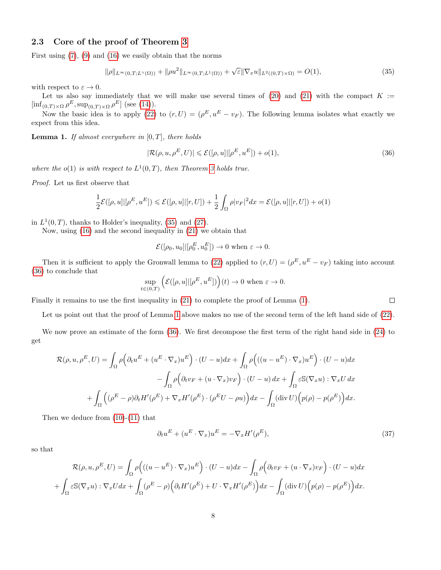#### 2.3 Core of the proof of Theorem [3](#page-3-5)

First using  $(7)$ ,  $(9)$  and  $(16)$  we easily obtain that the norms

<span id="page-7-0"></span>
$$
\|\rho\|_{L^{\infty}(0,T;L^{\gamma}(\Omega))} + \|\rho u^2\|_{L^{\infty}(0,T;L^1(\Omega))} + \sqrt{\varepsilon} \|\nabla_x u\|_{L^2((0,T)\times\Omega)} = O(1),
$$
\n(35)

with respect to  $\varepsilon \to 0$ .

Let us also say immediately that we will make use several times of [\(20\)](#page-5-1) and [\(21\)](#page-5-2) with the compact  $K :=$  $[\inf_{(0,T)\times\Omega} \rho^E, \sup_{(0,T)\times\Omega} \rho^E]$  (see [\(14\)](#page-3-9)).

Now the basic idea is to apply [\(22\)](#page-6-2) to  $(r, U) = (\rho^E, u^E - v_F)$ . The following lemma isolates what exactly we expect from this idea.

<span id="page-7-2"></span>**Lemma 1.** If almost everywhere in  $[0, T]$ , there holds

<span id="page-7-1"></span>
$$
|\mathcal{R}(\rho, u, \rho^E, U)| \leq \mathcal{E}([\rho, u] | [\rho^E, u^E]) + o(1),
$$
\n(36)

where the  $o(1)$  is with respect to  $L^1(0,T)$ , then Theorem [3](#page-3-5) holds true.

Proof. Let us first observe that

$$
\frac{1}{2}\mathcal{E}([\rho, u] | [\rho^E, u^E]) \le \mathcal{E}([\rho, u] | [r, U]) + \frac{1}{2} \int_{\Omega} \rho |v_F|^2 dx = \mathcal{E}([\rho, u] | [r, U]) + o(1)
$$

in  $L^1(0,T)$ , thanks to Holder's inequality, [\(35\)](#page-7-0) and [\(27\)](#page-6-1).

Now, using [\(16\)](#page-3-7) and the second inequality in [\(21\)](#page-5-2) we obtain that

$$
\mathcal{E}([\rho_0, u_0] | [\rho_0^E, u_0^E]) \to 0
$$
 when  $\varepsilon \to 0$ .

Then it is sufficient to apply the Gronwall lemma to [\(22\)](#page-6-2) applied to  $(r, U) = (\rho^E, u^E - v_F)$  taking into account [\(36\)](#page-7-1) to conclude that

$$
\sup_{t \in (0,T)} \Big( \mathcal{E}([\rho, u] \vert [\rho^E, u^E]) \Big)(t) \to 0 \text{ when } \varepsilon \to 0.
$$

Finally it remains to use the first inequality in [\(21\)](#page-5-2) to complete the proof of Lemma [\(1\)](#page-7-2).

Let us point out that the proof of Lemma [1](#page-7-2) above makes no use of the second term of the left hand side of  $(22)$ .

We now prove an estimate of the form [\(36\)](#page-7-1). We first decompose the first term of the right hand side in [\(24\)](#page-6-3) to get

$$
\mathcal{R}(\rho, u, \rho^E, U) = \int_{\Omega} \rho \Big( \partial_t u^E + (u^E \cdot \nabla_x) u^E \Big) \cdot (U - u) dx + \int_{\Omega} \rho \Big( ((u - u^E) \cdot \nabla_x) u^E \Big) \cdot (U - u) dx
$$

$$
- \int_{\Omega} \rho \Big( \partial_t v_F + (u \cdot \nabla_x) v_F \Big) \cdot (U - u) dx + \int_{\Omega} \varepsilon \mathbb{S}(\nabla_x u) : \nabla_x U dx
$$

$$
+ \int_{\Omega} \Big( (\rho^E - \rho) \partial_t H'(\rho^E) + \nabla_x H'(\rho^E) \cdot (\rho^E U - \rho u) \Big) dx - \int_{\Omega} (\text{div } U) \Big( p(\rho) - p(\rho^E) \Big) dx.
$$

Then we deduce from [\(10\)](#page-3-1)-[\(11\)](#page-3-1) that

<span id="page-7-3"></span>
$$
\partial_t u^E + (u^E \cdot \nabla_x) u^E = -\nabla_x H'(\rho^E),\tag{37}
$$

 $\Box$ 

so that

$$
\mathcal{R}(\rho, u, \rho^E, U) = \int_{\Omega} \rho \Big( ((u - u^E) \cdot \nabla_x) u^E \Big) \cdot (U - u) dx - \int_{\Omega} \rho \Big( \partial_t v_F + (u \cdot \nabla_x) v_F \Big) \cdot (U - u) dx
$$
  
+ 
$$
\int_{\Omega} \varepsilon \mathbb{S}(\nabla_x u) : \nabla_x U dx + \int_{\Omega} (\rho^E - \rho) \Big( \partial_t H'(\rho^E) + U \cdot \nabla_x H'(\rho^E) \Big) dx - \int_{\Omega} (\text{div } U) \Big( p(\rho) - p(\rho^E) \Big) dx.
$$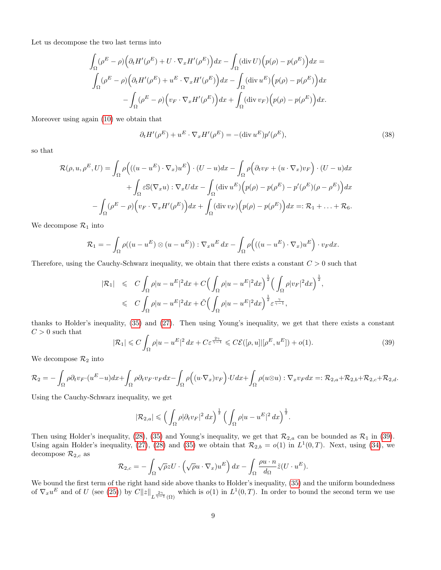Let us decompose the two last terms into

$$
\int_{\Omega} (\rho^{E} - \rho) \Big( \partial_{t} H'(\rho^{E}) + U \cdot \nabla_{x} H'(\rho^{E}) \Big) dx - \int_{\Omega} (\text{div } U) \Big( p(\rho) - p(\rho^{E}) \Big) dx =
$$
  

$$
\int_{\Omega} (\rho^{E} - \rho) \Big( \partial_{t} H'(\rho^{E}) + u^{E} \cdot \nabla_{x} H'(\rho^{E}) \Big) dx - \int_{\Omega} (\text{div } u^{E}) \Big( p(\rho) - p(\rho^{E}) \Big) dx
$$
  

$$
- \int_{\Omega} (\rho^{E} - \rho) \Big( v_{F} \cdot \nabla_{x} H'(\rho^{E}) \Big) dx + \int_{\Omega} (\text{div } v_{F}) \Big( p(\rho) - p(\rho^{E}) \Big) dx.
$$

Moreover using again [\(10\)](#page-3-1) we obtain that

<span id="page-8-1"></span>
$$
\partial_t H'(\rho^E) + u^E \cdot \nabla_x H'(\rho^E) = -(\text{div } u^E) p'(\rho^E),\tag{38}
$$

so that

$$
\mathcal{R}(\rho, u, \rho^E, U) = \int_{\Omega} \rho \Big( ((u - u^E) \cdot \nabla_x) u^E \Big) \cdot (U - u) dx - \int_{\Omega} \rho \Big( \partial_t v_F + (u \cdot \nabla_x) v_F \Big) \cdot (U - u) dx \n+ \int_{\Omega} \varepsilon \mathbb{S}(\nabla_x u) : \nabla_x U dx - \int_{\Omega} (\text{div } u^E) \Big( p(\rho) - p(\rho^E) - p'(\rho^E) (\rho - \rho^E) \Big) dx \n- \int_{\Omega} (\rho^E - \rho) \Big( v_F \cdot \nabla_x H'(\rho^E) \Big) dx + \int_{\Omega} (\text{div } v_F) \Big( p(\rho) - p(\rho^E) \Big) dx =: \mathcal{R}_1 + \dots + \mathcal{R}_6.
$$

We decompose  $\mathcal{R}_1$  into

$$
\mathcal{R}_1 = -\int_{\Omega} \rho((u - u^E) \otimes (u - u^E)) : \nabla_x u^E dx - \int_{\Omega} \rho((u - u^E) \cdot \nabla_x) u^E \right) \cdot v_F dx.
$$

Therefore, using the Cauchy-Schwarz inequality, we obtain that there exists a constant  $C > 0$  such that

$$
|\mathcal{R}_1| \leq C \int_{\Omega} \rho |u - u^E|^2 dx + C \Big( \int_{\Omega} \rho |u - u^E|^2 dx \Big)^{\frac{1}{2}} \Big( \int_{\Omega} \rho |v_F|^2 dx \Big)^{\frac{1}{2}},
$$
  

$$
\leq C \int_{\Omega} \rho |u - u^E|^2 dx + \tilde{C} \Big( \int_{\Omega} \rho |u - u^E|^2 dx \Big)^{\frac{1}{2}} \varepsilon^{\frac{\gamma}{\gamma - 1}},
$$

thanks to Holder's inequality, [\(35\)](#page-7-0) and [\(27\)](#page-6-1). Then using Young's inequality, we get that there exists a constant  $C > 0$  such that

<span id="page-8-0"></span>
$$
|\mathcal{R}_1| \leqslant C \int_{\Omega} \rho |u - u^E|^2 \, dx + C \varepsilon^{\frac{2\gamma}{\gamma - 1}} \leqslant C \mathcal{E}([\rho, u] | [\rho^E, u^E]) + o(1). \tag{39}
$$

We decompose  $\mathcal{R}_2$  into

$$
\mathcal{R}_2 = -\int_{\Omega} \rho \partial_t v_F \cdot (u^E - u) dx + \int_{\Omega} \rho \partial_t v_F \cdot v_F dx - \int_{\Omega} \rho \Big( (u \cdot \nabla_x) v_F \Big) \cdot U dx + \int_{\Omega} \rho (u \otimes u) : \nabla_x v_F dx =: \mathcal{R}_{2,a} + \mathcal{R}_{2,b} + \mathcal{R}_{2,c} + \mathcal{R}_{2,d}.
$$

Using the Cauchy-Schwarz inequality, we get

$$
|\mathcal{R}_{2,a}| \leqslant \left(\int_{\Omega} \rho |\partial_t v_F|^2 \, dx\right)^{\frac{1}{2}} \left(\int_{\Omega} \rho |u - u^E|^2 \, dx\right)^{\frac{1}{2}}.
$$

Then using Holder's inequality, [\(28\)](#page-6-1), [\(35\)](#page-7-0) and Young's inequality, we get that  $\mathcal{R}_{2,a}$  can be bounded as  $\mathcal{R}_1$  in [\(39\)](#page-8-0). Using again Holder's inequality, [\(27\)](#page-6-1), [\(28\)](#page-6-1) and [\(35\)](#page-7-0) we obtain that  $\mathcal{R}_{2,b} = o(1)$  in  $L^1(0,T)$ . Next, using [\(34\)](#page-6-4), we decompose  $\mathcal{R}_{2,c}$  as

$$
\mathcal{R}_{2,c} = -\int_{\Omega} \sqrt{\rho} z U \cdot \left( \sqrt{\rho} u \cdot \nabla_x) u^E \right) dx - \int_{\Omega} \frac{\rho u \cdot n}{d\Omega} \tilde{z} (U \cdot u^E).
$$

We bound the first term of the right hand side above thanks to Holder's inequality,  $(35)$  and the uniform boundedness of  $\nabla_x u^E$  and of U (see [\(25\)](#page-6-1)) by  $C||z||_{L^{\frac{2\gamma}{\gamma-1}}(\Omega)}$  which is  $o(1)$  in  $L^1(0,T)$ . In order to bound the second term we use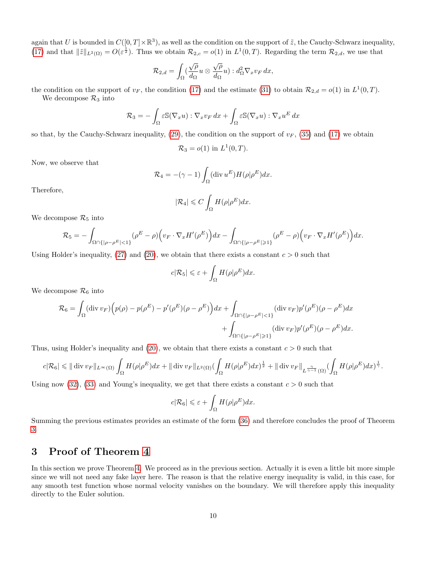again that U is bounded in  $C([0,T]\times\mathbb{R}^3)$ , as well as the condition on the support of  $\tilde{z}$ , the Cauchy-Schwarz inequality, [\(17\)](#page-3-6) and that  $\|\tilde{z}\|_{L^2(\Omega)} = O(\varepsilon^{\frac{1}{2}})$ . Thus we obtain  $\mathcal{R}_{2,c} = o(1)$  in  $L^1(0,T)$ . Regarding the term  $\mathcal{R}_{2,d}$ , we use that

$$
\mathcal{R}_{2,d} = \int_{\Omega} (\frac{\sqrt{\rho}}{d_{\Omega}} u \otimes \frac{\sqrt{\rho}}{d_{\Omega}} u) : d_{\Omega}^2 \nabla_x v_F dx,
$$

the condition on the support of  $v_F$ , the condition [\(17\)](#page-3-6) and the estimate [\(31\)](#page-6-1) to obtain  $\mathcal{R}_{2,d} = o(1)$  in  $L^1(0,T)$ . We decompose  $\mathcal{R}_3$  into

$$
\mathcal{R}_3 = -\int_{\Omega} \varepsilon \mathbb{S}(\nabla_x u) : \nabla_x v_F dx + \int_{\Omega} \varepsilon \mathbb{S}(\nabla_x u) : \nabla_x u^E dx
$$

so that, by the Cauchy-Schwarz inequality, [\(29\)](#page-6-1), the condition on the support of  $v_F$ , [\(35\)](#page-7-0) and [\(17\)](#page-3-6) we obtain

$$
\mathcal{R}_3 = o(1) \text{ in } L^1(0,T).
$$

Now, we observe that

$$
\mathcal{R}_4 = -(\gamma - 1) \int_{\Omega} (\text{div } u^E) H(\rho | \rho^E) dx.
$$

Therefore,

$$
|\mathcal{R}_4| \leqslant C \int_{\Omega} H(\rho | \rho^E) dx.
$$

We decompose  $\mathcal{R}_5$  into

$$
\mathcal{R}_5 = -\int_{\Omega \cap \{|\rho - \rho^E| < 1\}} (\rho^E - \rho) \Big( v_F \cdot \nabla_x H'(\rho^E) \Big) dx - \int_{\Omega \cap \{|\rho - \rho^E| \geq 1\}} (\rho^E - \rho) \Big( v_F \cdot \nabla_x H'(\rho^E) \Big) dx.
$$

Using Holder's inequality,  $(27)$  and  $(20)$ , we obtain that there exists a constant  $c > 0$  such that

$$
c|\mathcal{R}_5| \leqslant \varepsilon + \int_{\Omega} H(\rho|\rho^E) dx.
$$

We decompose  $\mathcal{R}_6$  into

$$
\mathcal{R}_6 = \int_{\Omega} (\text{div } v_F) \Big( p(\rho) - p(\rho^E) - p'(\rho^E)(\rho - \rho^E) \Big) dx + \int_{\Omega \cap \{ |\rho - \rho^E| < 1 \}} (\text{div } v_F) p'(\rho^E) (\rho - \rho^E) dx + \int_{\Omega \cap \{ |\rho - \rho^E| \ge 1 \}} (\text{div } v_F) p'(\rho^E) (\rho - \rho^E) dx.
$$

Thus, using Holder's inequality and [\(20\)](#page-5-1), we obtain that there exists a constant  $c > 0$  such that

$$
c|\mathcal{R}_6| \leq \|\operatorname{div} v_F\|_{L^\infty(\Omega)} \int_{\Omega} H(\rho|\rho^E)dx + \|\operatorname{div} v_F\|_{L^2(\Omega)} (\int_{\Omega} H(\rho|\rho^E)dx)^{\frac{1}{2}} + \|\operatorname{div} v_F\|_{L^{\frac{\gamma}{\gamma-1}}(\Omega)} (\int_{\Omega} H(\rho|\rho^E)dx)^{\frac{1}{\gamma}}.
$$

Using now [\(32\)](#page-6-1), [\(33\)](#page-6-1) and Young's inequality, we get that there exists a constant  $c > 0$  such that

$$
c|\mathcal{R}_6| \leq \varepsilon + \int_{\Omega} H(\rho|\rho^E) dx.
$$

Summing the previous estimates provides an estimate of the form [\(36\)](#page-7-1) and therefore concludes the proof of Theorem [3.](#page-3-5)

# 3 Proof of Theorem [4](#page-5-0)

In this section we prove Theorem [4.](#page-5-0) We proceed as in the previous section. Actually it is even a little bit more simple since we will not need any fake layer here. The reason is that the relative energy inequality is valid, in this case, for any smooth test function whose normal velocity vanishes on the boundary. We will therefore apply this inequality directly to the Euler solution.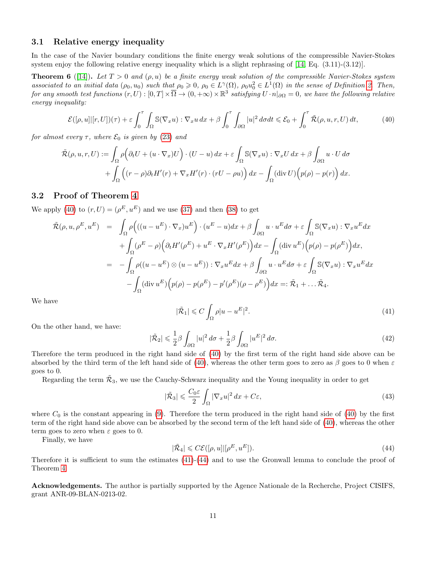### 3.1 Relative energy inequality

In the case of the Navier boundary conditions the finite energy weak solutions of the compressible Navier-Stokes system enjoy the following relative energy inequality which is a slight rephrasing of [\[14,](#page-11-0) Eq. (3.11)-(3.12)].

**Theorem 6** ([\[14\]](#page-11-0)). Let  $T > 0$  and  $(\rho, u)$  be a finite energy weak solution of the compressible Navier-Stokes system associated to an initial data  $(\rho_0, u_0)$  such that  $\rho_0 \geq 0$ ,  $\rho_0 \in L^{\gamma}(\Omega)$ ,  $\rho_0 u_0^2 \in L^1(\Omega)$  in the sense of Definition [2.](#page-4-0) Then, for any smooth test functions  $(r,U):[0,T]\times \overline{\Omega}\to (0,+\infty)\times \mathbb{R}^3$  satisfying  $U\cdot n|_{\partial\Omega}=0,$  we have the following relative energy inequality:

<span id="page-10-0"></span>
$$
\mathcal{E}([\rho, u] | [r, U])(\tau) + \varepsilon \int_0^\tau \int_{\Omega} \mathbb{S}(\nabla_x u) : \nabla_x u \, dx + \beta \int_0^\tau \int_{\partial \Omega} |u|^2 \, d\sigma dt \leq \mathcal{E}_0 + \int_0^\tau \tilde{\mathcal{R}}(\rho, u, r, U) \, dt,\tag{40}
$$

for almost every  $\tau$ , where  $\mathcal{E}_0$  is given by [\(23\)](#page-6-5) and

$$
\tilde{\mathcal{R}}(\rho, u, r, U) := \int_{\Omega} \rho \Big( \partial_t U + (u \cdot \nabla_x) U \Big) \cdot (U - u) \, dx + \varepsilon \int_{\Omega} \mathbb{S}(\nabla_x u) : \nabla_x U \, dx + \beta \int_{\partial \Omega} u \cdot U \, d\sigma
$$
\n
$$
+ \int_{\Omega} \Big( (r - \rho) \partial_t H'(r) + \nabla_x H'(r) \cdot (rU - \rho u) \Big) \, dx - \int_{\Omega} (\text{div } U) \Big( p(\rho) - p(r) \Big) \, dx.
$$

### 3.2 Proof of Theorem [4](#page-5-0)

We apply [\(40\)](#page-10-0) to  $(r, U) = (\rho^E, u^E)$  and we use [\(37\)](#page-7-3) and then [\(38\)](#page-8-1) to get

$$
\tilde{\mathcal{R}}(\rho, u, \rho^{E}, u^{E}) = \int_{\Omega} \rho \Big( ((u - u^{E}) \cdot \nabla_{x}) u^{E} \Big) \cdot (u^{E} - u) dx + \beta \int_{\partial \Omega} u \cdot u^{E} d\sigma + \varepsilon \int_{\Omega} \mathbb{S}(\nabla_{x} u) : \nabla_{x} u^{E} dx \n+ \int_{\Omega} (\rho^{E} - \rho) \Big( \partial_{t} H'(\rho^{E}) + u^{E} \cdot \nabla_{x} H'(\rho^{E}) \Big) dx - \int_{\Omega} (\text{div } u^{E}) \Big( p(\rho) - p(\rho^{E}) \Big) dx, \n= - \int_{\Omega} \rho ((u - u^{E}) \otimes (u - u^{E})) : \nabla_{x} u^{E} dx + \beta \int_{\partial \Omega} u \cdot u^{E} d\sigma + \varepsilon \int_{\Omega} \mathbb{S}(\nabla_{x} u) : \nabla_{x} u^{E} dx \n- \int_{\Omega} (\text{div } u^{E}) \Big( p(\rho) - p(\rho^{E}) - p'(\rho^{E}) (\rho - \rho^{E}) \Big) dx =: \tilde{\mathcal{R}}_{1} + ... \tilde{\mathcal{R}}_{4}.
$$

We have

<span id="page-10-1"></span>
$$
|\tilde{\mathcal{R}}_1| \leqslant C \int_{\Omega} \rho |u - u^E|^2. \tag{41}
$$

On the other hand, we have:

$$
|\tilde{\mathcal{R}}_2| \leq \frac{1}{2}\beta \int_{\partial\Omega} |u|^2 \, d\sigma + \frac{1}{2}\beta \int_{\partial\Omega} |u^E|^2 \, d\sigma. \tag{42}
$$

Therefore the term produced in the right hand side of [\(40\)](#page-10-0) by the first term of the right hand side above can be absorbed by the third term of the left hand side of [\(40\)](#page-10-0), whereas the other term goes to zero as  $\beta$  goes to 0 when  $\varepsilon$ goes to 0.

Regarding the term  $\tilde{\mathcal{R}}_3$ , we use the Cauchy-Schwarz inequality and the Young inequality in order to get

$$
|\tilde{\mathcal{R}}_3| \leqslant \frac{C_0 \varepsilon}{2} \int_{\Omega} |\nabla_x u|^2 \, dx + C\varepsilon,\tag{43}
$$

where  $C_0$  is the constant appearing in [\(9\)](#page-2-4). Therefore the term produced in the right hand side of [\(40\)](#page-10-0) by the first term of the right hand side above can be absorbed by the second term of the left hand side of [\(40\)](#page-10-0), whereas the other term goes to zero when  $\varepsilon$  goes to 0.

Finally, we have

<span id="page-10-2"></span>
$$
|\tilde{\mathcal{R}}_4| \leqslant C\mathcal{E}([\rho, u] | [\rho^E, u^E]). \tag{44}
$$

Therefore it is sufficient to sum the estimates [\(41\)](#page-10-1)-[\(44\)](#page-10-2) and to use the Gronwall lemma to conclude the proof of Theorem [4.](#page-5-0)

Acknowledgements. The author is partially supported by the Agence Nationale de la Recherche, Project CISIFS, grant ANR-09-BLAN-0213-02.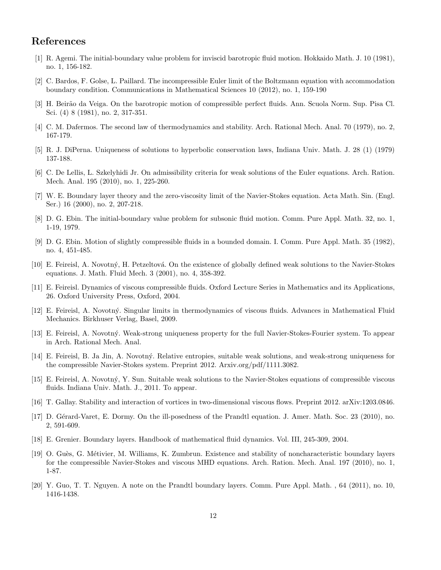# References

- <span id="page-11-9"></span>[1] R. Agemi. The initial-boundary value problem for inviscid barotropic fluid motion. Hokkaido Math. J. 10 (1981), no. 1, 156-182.
- <span id="page-11-5"></span>[2] C. Bardos, F. Golse, L. Paillard. The incompressible Euler limit of the Boltzmann equation with accommodation boundary condition. Communications in Mathematical Sciences 10 (2012), no. 1, 159-190
- <span id="page-11-10"></span>[3] H. Beirão da Veiga. On the barotropic motion of compressible perfect fluids. Ann. Scuola Norm. Sup. Pisa Cl. Sci. (4) 8 (1981), no. 2, 317-351.
- <span id="page-11-13"></span>[4] C. M. Dafermos. The second law of thermodynamics and stability. Arch. Rational Mech. Anal. 70 (1979), no. 2, 167-179.
- <span id="page-11-14"></span>[5] R. J. DiPerna. Uniqueness of solutions to hyperbolic conservation laws, Indiana Univ. Math. J. 28 (1) (1979) 137-188.
- <span id="page-11-18"></span>[6] C. De Lellis, L. Szkelyhidi Jr. On admissibility criteria for weak solutions of the Euler equations. Arch. Ration. Mech. Anal. 195 (2010), no. 1, 225-260.
- <span id="page-11-3"></span>[7] W. E. Boundary layer theory and the zero-viscosity limit of the Navier-Stokes equation. Acta Math. Sin. (Engl. Ser.) 16 (2000), no. 2, 207-218.
- <span id="page-11-11"></span>[8] D. G. Ebin. The initial-boundary value problem for subsonic fluid motion. Comm. Pure Appl. Math. 32, no. 1, 1-19, 1979.
- <span id="page-11-12"></span>[9] D. G. Ebin. Motion of slightly compressible fluids in a bounded domain. I. Comm. Pure Appl. Math. 35 (1982), no. 4, 451-485.
- <span id="page-11-6"></span>[10] E. Feireisl, A. Novotný, H. Petzeltová. On the existence of globally defined weak solutions to the Navier-Stokes equations. J. Math. Fluid Mech. 3 (2001), no. 4, 358-392.
- <span id="page-11-7"></span>[11] E. Feireisl. Dynamics of viscous compressible fluids. Oxford Lecture Series in Mathematics and its Applications, 26. Oxford University Press, Oxford, 2004.
- <span id="page-11-8"></span>[12] E. Feireisl, A. Novotn´y. Singular limits in thermodynamics of viscous fluids. Advances in Mathematical Fluid Mechanics. Birkhuser Verlag, Basel, 2009.
- <span id="page-11-16"></span>[13] E. Feireisl, A. Novotn´y. Weak-strong uniqueness property for the full Navier-Stokes-Fourier system. To appear in Arch. Rational Mech. Anal.
- <span id="page-11-0"></span>[14] E. Feireisl, B. Ja Jin, A. Novotn´y. Relative entropies, suitable weak solutions, and weak-strong uniqueness for the compressible Navier-Stokes system. Preprint 2012. Arxiv.org/pdf/1111.3082.
- <span id="page-11-17"></span>[15] E. Feireisl, A. Novotn´y, Y. Sun. Suitable weak solutions to the Navier-Stokes equations of compressible viscous fluids. Indiana Univ. Math. J., 2011. To appear.
- <span id="page-11-15"></span>[16] T. Gallay. Stability and interaction of vortices in two-dimensional viscous flows. Preprint 2012. arXiv:1203.0846.
- <span id="page-11-1"></span>[17] D. Gérard-Varet, E. Dormy. On the ill-posedness of the Prandtl equation. J. Amer. Math. Soc. 23 (2010), no. 2, 591-609.
- [18] E. Grenier. Boundary layers. Handbook of mathematical fluid dynamics. Vol. III, 245-309, 2004.
- <span id="page-11-4"></span>[19] O. Gu`es, G. M´etivier, M. Williams, K. Zumbrun. Existence and stability of noncharacteristic boundary layers for the compressible Navier-Stokes and viscous MHD equations. Arch. Ration. Mech. Anal. 197 (2010), no. 1, 1-87.
- <span id="page-11-2"></span>[20] Y. Guo, T. T. Nguyen. A note on the Prandtl boundary layers. Comm. Pure Appl. Math. , 64 (2011), no. 10, 1416-1438.